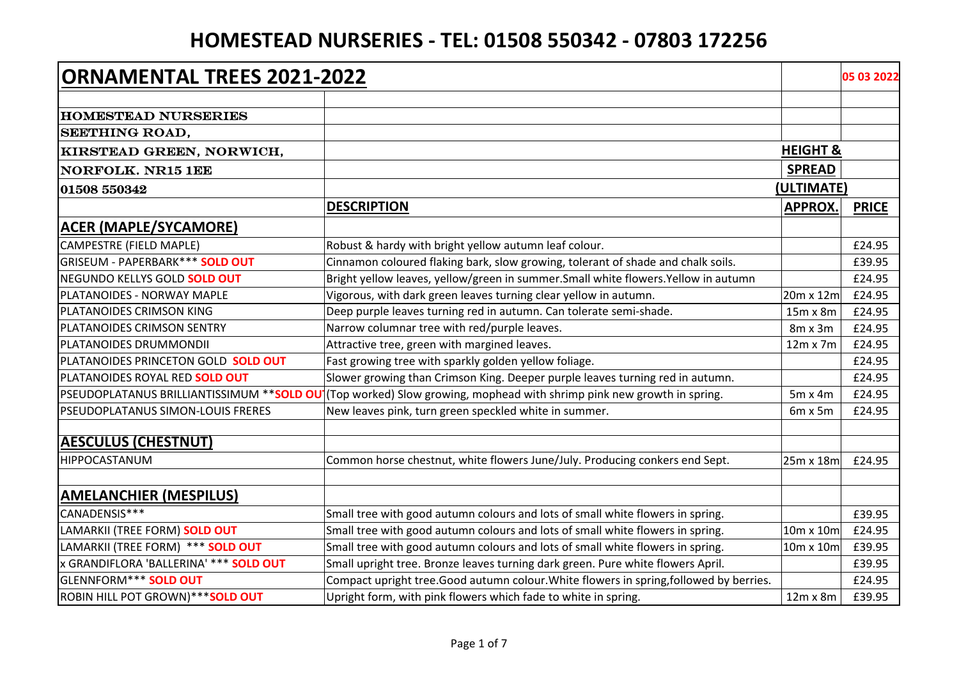| <b>ORNAMENTAL TREES 2021-2022</b>      |                                                                                                                     |                     | 05 03 2022   |
|----------------------------------------|---------------------------------------------------------------------------------------------------------------------|---------------------|--------------|
|                                        |                                                                                                                     |                     |              |
| <b>HOMESTEAD NURSERIES</b>             |                                                                                                                     |                     |              |
| <b>SEETHING ROAD,</b>                  |                                                                                                                     |                     |              |
| KIRSTEAD GREEN, NORWICH,               |                                                                                                                     | <b>HEIGHT &amp;</b> |              |
| <b>NORFOLK. NR15 1EE</b>               |                                                                                                                     | <b>SPREAD</b>       |              |
| 01508 550342                           |                                                                                                                     | (ULTIMATE)          |              |
|                                        | <b>DESCRIPTION</b>                                                                                                  | <b>APPROX.</b>      | <b>PRICE</b> |
| <b>ACER (MAPLE/SYCAMORE)</b>           |                                                                                                                     |                     |              |
| CAMPESTRE (FIELD MAPLE)                | Robust & hardy with bright yellow autumn leaf colour.                                                               |                     | £24.95       |
| GRISEUM - PAPERBARK*** SOLD OUT        | Cinnamon coloured flaking bark, slow growing, tolerant of shade and chalk soils.                                    |                     | £39.95       |
| NEGUNDO KELLYS GOLD SOLD OUT           | Bright yellow leaves, yellow/green in summer. Small white flowers. Yellow in autumn                                 |                     | £24.95       |
| PLATANOIDES - NORWAY MAPLE             | Vigorous, with dark green leaves turning clear yellow in autumn.                                                    | $20m \times 12m$    | £24.95       |
| PLATANOIDES CRIMSON KING               | Deep purple leaves turning red in autumn. Can tolerate semi-shade.                                                  | 15m x 8m            | £24.95       |
| PLATANOIDES CRIMSON SENTRY             | Narrow columnar tree with red/purple leaves.                                                                        | $8m \times 3m$      | £24.95       |
| PLATANOIDES DRUMMONDII                 | Attractive tree, green with margined leaves.                                                                        | $12m \times 7m$     | £24.95       |
| PLATANOIDES PRINCETON GOLD SOLD OUT    | Fast growing tree with sparkly golden yellow foliage.                                                               |                     | £24.95       |
| PLATANOIDES ROYAL RED SOLD OUT         | Slower growing than Crimson King. Deeper purple leaves turning red in autumn.                                       |                     | £24.95       |
|                                        | PSEUDOPLATANUS BRILLIANTISSIMUM **SOLD OU (Top worked) Slow growing, mophead with shrimp pink new growth in spring. | $5m \times 4m$      | £24.95       |
| PSEUDOPLATANUS SIMON-LOUIS FRERES      | New leaves pink, turn green speckled white in summer.                                                               | 6m x 5m             | £24.95       |
| <b>AESCULUS (CHESTNUT)</b>             |                                                                                                                     |                     |              |
| HIPPOCASTANUM                          | Common horse chestnut, white flowers June/July. Producing conkers end Sept.                                         | $25m \times 18m$    | £24.95       |
| <b>AMELANCHIER (MESPILUS)</b>          |                                                                                                                     |                     |              |
| CANADENSIS***                          | Small tree with good autumn colours and lots of small white flowers in spring.                                      |                     | £39.95       |
| LAMARKII (TREE FORM) SOLD OUT          | Small tree with good autumn colours and lots of small white flowers in spring.                                      | 10m x 10m           | £24.95       |
| LAMARKII (TREE FORM) *** SOLD OUT      | Small tree with good autumn colours and lots of small white flowers in spring.                                      | 10m x 10m           | £39.95       |
| x GRANDIFLORA 'BALLERINA' *** SOLD OUT | Small upright tree. Bronze leaves turning dark green. Pure white flowers April.                                     |                     | £39.95       |
| GLENNFORM*** SOLD OUT                  | Compact upright tree. Good autumn colour. White flowers in spring, followed by berries.                             |                     | £24.95       |
| ROBIN HILL POT GROWN)***SOLD OUT       | Upright form, with pink flowers which fade to white in spring.                                                      | $12m \times 8m$     | £39.95       |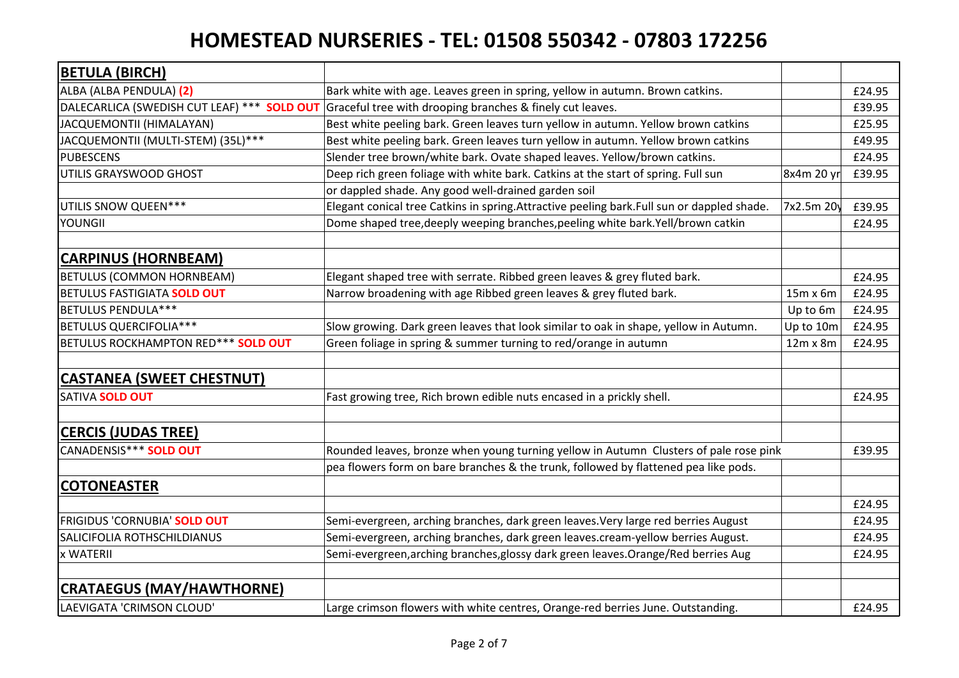| <b>BETULA (BIRCH)</b>                       |                                                                                             |                 |        |
|---------------------------------------------|---------------------------------------------------------------------------------------------|-----------------|--------|
| ALBA (ALBA PENDULA) (2)                     | Bark white with age. Leaves green in spring, yellow in autumn. Brown catkins.               |                 | £24.95 |
| DALECARLICA (SWEDISH CUT LEAF) *** SOLD OUT | Graceful tree with drooping branches & finely cut leaves.                                   |                 | £39.95 |
| JACQUEMONTII (HIMALAYAN)                    | Best white peeling bark. Green leaves turn yellow in autumn. Yellow brown catkins           |                 | £25.95 |
| JACQUEMONTII (MULTI-STEM) (35L)***          | Best white peeling bark. Green leaves turn yellow in autumn. Yellow brown catkins           |                 | £49.95 |
| <b>PUBESCENS</b>                            | Slender tree brown/white bark. Ovate shaped leaves. Yellow/brown catkins.                   |                 | £24.95 |
| UTILIS GRAYSWOOD GHOST                      | Deep rich green foliage with white bark. Catkins at the start of spring. Full sun           | 8x4m 20 yr      | £39.95 |
|                                             | or dappled shade. Any good well-drained garden soil                                         |                 |        |
| UTILIS SNOW QUEEN***                        | Elegant conical tree Catkins in spring. Attractive peeling bark. Full sun or dappled shade. | 7x2.5m 20y      | £39.95 |
| YOUNGII                                     | Dome shaped tree, deeply weeping branches, peeling white bark. Yell/brown catkin            |                 | £24.95 |
| <b>CARPINUS (HORNBEAM)</b>                  |                                                                                             |                 |        |
| <b>BETULUS (COMMON HORNBEAM)</b>            | Elegant shaped tree with serrate. Ribbed green leaves & grey fluted bark.                   |                 | £24.95 |
| BETULUS FASTIGIATA SOLD OUT                 | Narrow broadening with age Ribbed green leaves & grey fluted bark.                          | $15m \times 6m$ | £24.95 |
| <b>BETULUS PENDULA***</b>                   |                                                                                             | Up to 6m        | £24.95 |
| <b>BETULUS QUERCIFOLIA***</b>               | Slow growing. Dark green leaves that look similar to oak in shape, yellow in Autumn.        | Up to $10m$     | £24.95 |
| BETULUS ROCKHAMPTON RED*** SOLD OUT         | Green foliage in spring & summer turning to red/orange in autumn                            | $12m \times 8m$ | £24.95 |
| <b>CASTANEA (SWEET CHESTNUT)</b>            |                                                                                             |                 |        |
| SATIVA SOLD OUT                             | Fast growing tree, Rich brown edible nuts encased in a prickly shell.                       |                 | £24.95 |
| <b>CERCIS (JUDAS TREE)</b>                  |                                                                                             |                 |        |
| CANADENSIS*** SOLD OUT                      | Rounded leaves, bronze when young turning yellow in Autumn Clusters of pale rose pink       |                 | £39.95 |
|                                             | pea flowers form on bare branches & the trunk, followed by flattened pea like pods.         |                 |        |
| <b>COTONEASTER</b>                          |                                                                                             |                 |        |
|                                             |                                                                                             |                 | £24.95 |
| <b>FRIGIDUS 'CORNUBIA' SOLD OUT</b>         | Semi-evergreen, arching branches, dark green leaves. Very large red berries August          |                 | £24.95 |
| SALICIFOLIA ROTHSCHILDIANUS                 | Semi-evergreen, arching branches, dark green leaves.cream-yellow berries August.            |                 | £24.95 |
| x WATERII                                   | Semi-evergreen, arching branches, glossy dark green leaves. Orange/Red berries Aug          |                 | £24.95 |
| <b>CRATAEGUS (MAY/HAWTHORNE)</b>            |                                                                                             |                 |        |
| LAEVIGATA 'CRIMSON CLOUD'                   | Large crimson flowers with white centres, Orange-red berries June. Outstanding.             |                 | £24.95 |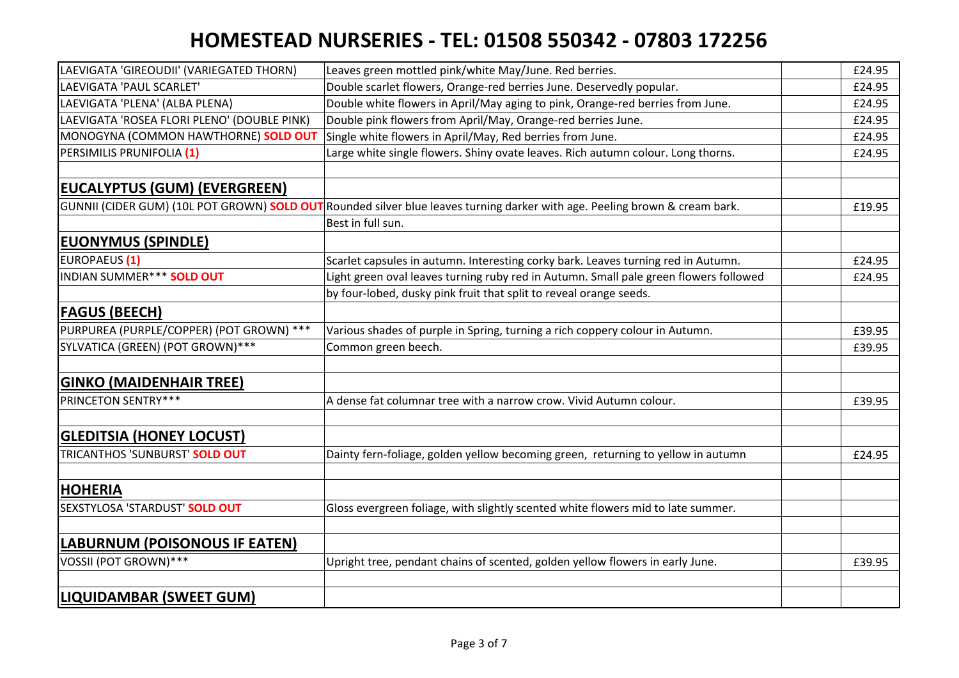| LAEVIGATA 'GIREOUDII' (VARIEGATED THORN)    | Leaves green mottled pink/white May/June. Red berries.                                                                      | £24.95 |
|---------------------------------------------|-----------------------------------------------------------------------------------------------------------------------------|--------|
| LAEVIGATA 'PAUL SCARLET'                    | Double scarlet flowers, Orange-red berries June. Deservedly popular.                                                        | £24.95 |
| LAEVIGATA 'PLENA' (ALBA PLENA)              | Double white flowers in April/May aging to pink, Orange-red berries from June.                                              | £24.95 |
| LAEVIGATA 'ROSEA FLORI PLENO' (DOUBLE PINK) | Double pink flowers from April/May, Orange-red berries June.                                                                | £24.95 |
| MONOGYNA (COMMON HAWTHORNE) SOLD OUT        | Single white flowers in April/May, Red berries from June.                                                                   | £24.95 |
| PERSIMILIS PRUNIFOLIA (1)                   | Large white single flowers. Shiny ovate leaves. Rich autumn colour. Long thorns.                                            | £24.95 |
| <b>EUCALYPTUS (GUM) (EVERGREEN)</b>         |                                                                                                                             |        |
|                                             | GUNNII (CIDER GUM) (10L POT GROWN) SOLD OUT Rounded silver blue leaves turning darker with age. Peeling brown & cream bark. | £19.95 |
|                                             | Best in full sun.                                                                                                           |        |
| <b>EUONYMUS (SPINDLE)</b>                   |                                                                                                                             |        |
| EUROPAEUS <sup>(1)</sup>                    | Scarlet capsules in autumn. Interesting corky bark. Leaves turning red in Autumn.                                           | £24.95 |
| INDIAN SUMMER*** SOLD OUT                   | Light green oval leaves turning ruby red in Autumn. Small pale green flowers followed                                       | £24.95 |
|                                             | by four-lobed, dusky pink fruit that split to reveal orange seeds.                                                          |        |
| <b>FAGUS (BEECH)</b>                        |                                                                                                                             |        |
| PURPUREA (PURPLE/COPPER) (POT GROWN) ***    | Various shades of purple in Spring, turning a rich coppery colour in Autumn.                                                | £39.95 |
| SYLVATICA (GREEN) (POT GROWN) ***           | Common green beech.                                                                                                         | £39.95 |
| <b>GINKO (MAIDENHAIR TREE)</b>              |                                                                                                                             |        |
| <b>PRINCETON SENTRY***</b>                  | A dense fat columnar tree with a narrow crow. Vivid Autumn colour.                                                          | £39.95 |
| <b>GLEDITSIA (HONEY LOCUST)</b>             |                                                                                                                             |        |
| TRICANTHOS 'SUNBURST' SOLD OUT              | Dainty fern-foliage, golden yellow becoming green, returning to yellow in autumn                                            | £24.95 |
|                                             |                                                                                                                             |        |
| <b>HOHERIA</b>                              |                                                                                                                             |        |
| SEXSTYLOSA 'STARDUST' SOLD OUT              | Gloss evergreen foliage, with slightly scented white flowers mid to late summer.                                            |        |
| <b>LABURNUM (POISONOUS IF EATEN)</b>        |                                                                                                                             |        |
| VOSSII (POT GROWN)***                       | Upright tree, pendant chains of scented, golden yellow flowers in early June.                                               | £39.95 |
|                                             |                                                                                                                             |        |
| <b>LIQUIDAMBAR (SWEET GUM)</b>              |                                                                                                                             |        |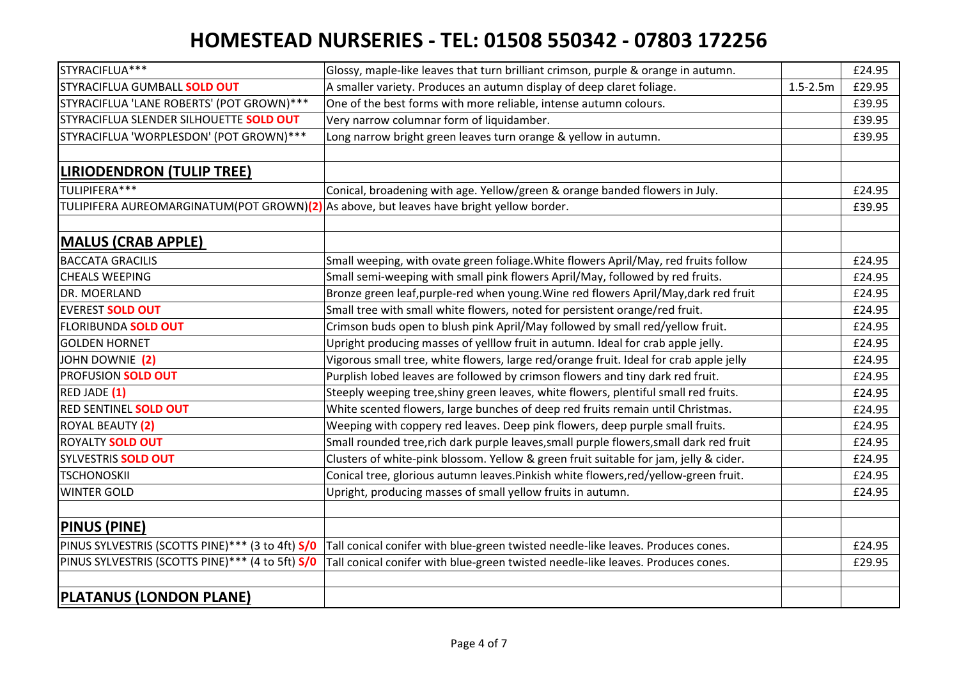| STYRACIFLUA***                                                                           | Glossy, maple-like leaves that turn brilliant crimson, purple & orange in autumn.       |              | £24.95 |
|------------------------------------------------------------------------------------------|-----------------------------------------------------------------------------------------|--------------|--------|
| STYRACIFLUA GUMBALL SOLD OUT                                                             | A smaller variety. Produces an autumn display of deep claret foliage.                   | $1.5 - 2.5m$ | £29.95 |
| STYRACIFLUA 'LANE ROBERTS' (POT GROWN) ***                                               | One of the best forms with more reliable, intense autumn colours.                       |              | £39.95 |
| STYRACIFLUA SLENDER SILHOUETTE SOLD OUT                                                  | Very narrow columnar form of liquidamber.                                               |              | £39.95 |
| STYRACIFLUA 'WORPLESDON' (POT GROWN) ***                                                 | Long narrow bright green leaves turn orange & yellow in autumn.                         |              | £39.95 |
|                                                                                          |                                                                                         |              |        |
| LIRIODENDRON (TULIP TREE)                                                                |                                                                                         |              |        |
| TULIPIFERA***                                                                            | Conical, broadening with age. Yellow/green & orange banded flowers in July.             |              | £24.95 |
| TULIPIFERA AUREOMARGINATUM(POT GROWN)(2) As above, but leaves have bright yellow border. |                                                                                         |              | £39.95 |
|                                                                                          |                                                                                         |              |        |
| <b>MALUS (CRAB APPLE)</b>                                                                |                                                                                         |              |        |
| <b>BACCATA GRACILIS</b>                                                                  | Small weeping, with ovate green foliage. White flowers April/May, red fruits follow     |              | £24.95 |
| <b>CHEALS WEEPING</b>                                                                    | Small semi-weeping with small pink flowers April/May, followed by red fruits.           |              | £24.95 |
| DR. MOERLAND                                                                             | Bronze green leaf, purple-red when young. Wine red flowers April/May, dark red fruit    |              | £24.95 |
| <b>EVEREST SOLD OUT</b>                                                                  | Small tree with small white flowers, noted for persistent orange/red fruit.             |              | £24.95 |
| FLORIBUNDA SOLD OUT                                                                      | Crimson buds open to blush pink April/May followed by small red/yellow fruit.           |              | £24.95 |
| <b>GOLDEN HORNET</b>                                                                     | Upright producing masses of yelllow fruit in autumn. Ideal for crab apple jelly.        |              | £24.95 |
| JOHN DOWNIE (2)                                                                          | Vigorous small tree, white flowers, large red/orange fruit. Ideal for crab apple jelly  |              | £24.95 |
| PROFUSION SOLD OUT                                                                       | Purplish lobed leaves are followed by crimson flowers and tiny dark red fruit.          |              | £24.95 |
| RED JADE (1)                                                                             | Steeply weeping tree, shiny green leaves, white flowers, plentiful small red fruits.    |              | £24.95 |
| RED SENTINEL SOLD OUT                                                                    | White scented flowers, large bunches of deep red fruits remain until Christmas.         |              | £24.95 |
| ROYAL BEAUTY (2)                                                                         | Weeping with coppery red leaves. Deep pink flowers, deep purple small fruits.           |              | £24.95 |
| ROYALTY SOLD OUT                                                                         | Small rounded tree, rich dark purple leaves, small purple flowers, small dark red fruit |              | £24.95 |
| SYLVESTRIS <b>SOLD OUT</b>                                                               | Clusters of white-pink blossom. Yellow & green fruit suitable for jam, jelly & cider.   |              | £24.95 |
| <b>TSCHONOSKII</b>                                                                       | Conical tree, glorious autumn leaves. Pinkish white flowers, red/yellow-green fruit.    |              | £24.95 |
| <b>WINTER GOLD</b>                                                                       | Upright, producing masses of small yellow fruits in autumn.                             |              | £24.95 |
|                                                                                          |                                                                                         |              |        |
| <b>PINUS (PINE)</b>                                                                      |                                                                                         |              |        |
| PINUS SYLVESTRIS (SCOTTS PINE)*** (3 to 4ft) S/0                                         | Tall conical conifer with blue-green twisted needle-like leaves. Produces cones.        |              | £24.95 |
| PINUS SYLVESTRIS (SCOTTS PINE)*** (4 to 5ft) S/0                                         | Tall conical conifer with blue-green twisted needle-like leaves. Produces cones.        |              | £29.95 |
|                                                                                          |                                                                                         |              |        |
| <b>PLATANUS (LONDON PLANE)</b>                                                           |                                                                                         |              |        |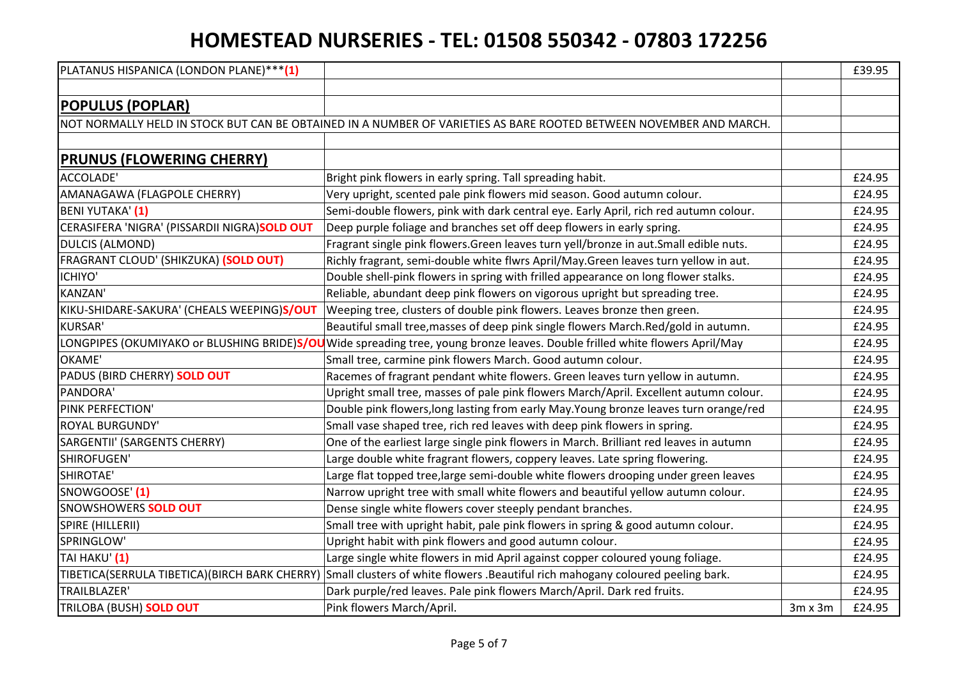| PLATANUS HISPANICA (LONDON PLANE)***(1)      |                                                                                                                               |                | £39.95 |
|----------------------------------------------|-------------------------------------------------------------------------------------------------------------------------------|----------------|--------|
|                                              |                                                                                                                               |                |        |
| <b>POPULUS (POPLAR)</b>                      |                                                                                                                               |                |        |
|                                              | NOT NORMALLY HELD IN STOCK BUT CAN BE OBTAINED IN A NUMBER OF VARIETIES AS BARE ROOTED BETWEEN NOVEMBER AND MARCH.            |                |        |
|                                              |                                                                                                                               |                |        |
| <b>PRUNUS (FLOWERING CHERRY)</b>             |                                                                                                                               |                |        |
| ACCOLADE'                                    | Bright pink flowers in early spring. Tall spreading habit.                                                                    |                | £24.95 |
| AMANAGAWA (FLAGPOLE CHERRY)                  | Very upright, scented pale pink flowers mid season. Good autumn colour.                                                       |                | £24.95 |
| BENI YUTAKA' (1)                             | Semi-double flowers, pink with dark central eye. Early April, rich red autumn colour.                                         |                | £24.95 |
| CERASIFERA 'NIGRA' (PISSARDII NIGRA)SOLD OUT | Deep purple foliage and branches set off deep flowers in early spring.                                                        |                | £24.95 |
| DULCIS (ALMOND)                              | Fragrant single pink flowers. Green leaves turn yell/bronze in aut. Small edible nuts.                                        |                | £24.95 |
| FRAGRANT CLOUD' (SHIKZUKA) (SOLD OUT)        | Richly fragrant, semi-double white flwrs April/May.Green leaves turn yellow in aut.                                           |                | £24.95 |
| ICHIYO'                                      | Double shell-pink flowers in spring with frilled appearance on long flower stalks.                                            |                | £24.95 |
| <b>KANZAN'</b>                               | Reliable, abundant deep pink flowers on vigorous upright but spreading tree.                                                  |                | £24.95 |
| KIKU-SHIDARE-SAKURA' (CHEALS WEEPING)S/OUT   | Weeping tree, clusters of double pink flowers. Leaves bronze then green.                                                      |                | £24.95 |
| <b>KURSAR'</b>                               | Beautiful small tree, masses of deep pink single flowers March.Red/gold in autumn.                                            |                | £24.95 |
|                                              | LONGPIPES (OKUMIYAKO or BLUSHING BRIDE)S/OU Wide spreading tree, young bronze leaves. Double frilled white flowers April/May  |                | £24.95 |
| OKAME'                                       | Small tree, carmine pink flowers March. Good autumn colour.                                                                   |                | £24.95 |
| PADUS (BIRD CHERRY) SOLD OUT                 | Racemes of fragrant pendant white flowers. Green leaves turn yellow in autumn.                                                |                | £24.95 |
| PANDORA'                                     | Upright small tree, masses of pale pink flowers March/April. Excellent autumn colour.                                         |                | £24.95 |
| PINK PERFECTION'                             | Double pink flowers, long lasting from early May. Young bronze leaves turn orange/red                                         |                | £24.95 |
| <b>ROYAL BURGUNDY'</b>                       | Small vase shaped tree, rich red leaves with deep pink flowers in spring.                                                     |                | £24.95 |
| SARGENTII' (SARGENTS CHERRY)                 | One of the earliest large single pink flowers in March. Brilliant red leaves in autumn                                        |                | £24.95 |
| SHIROFUGEN'                                  | Large double white fragrant flowers, coppery leaves. Late spring flowering.                                                   |                | £24.95 |
| SHIROTAE'                                    | Large flat topped tree, large semi-double white flowers drooping under green leaves                                           |                | £24.95 |
| SNOWGOOSE' (1)                               | Narrow upright tree with small white flowers and beautiful yellow autumn colour.                                              |                | £24.95 |
| <b>SNOWSHOWERS SOLD OUT</b>                  | Dense single white flowers cover steeply pendant branches.                                                                    |                | £24.95 |
| SPIRE (HILLERII)                             | Small tree with upright habit, pale pink flowers in spring & good autumn colour.                                              |                | £24.95 |
| SPRINGLOW'                                   | Upright habit with pink flowers and good autumn colour.                                                                       |                | £24.95 |
| TAI HAKU' (1)                                | Large single white flowers in mid April against copper coloured young foliage.                                                |                | £24.95 |
|                                              | TIBETICA(SERRULA TIBETICA)(BIRCH BARK CHERRY) Small clusters of white flowers .Beautiful rich mahogany coloured peeling bark. |                | £24.95 |
| TRAILBLAZER'                                 | Dark purple/red leaves. Pale pink flowers March/April. Dark red fruits.                                                       |                | £24.95 |
| TRILOBA (BUSH) SOLD OUT                      | Pink flowers March/April.                                                                                                     | $3m \times 3m$ | £24.95 |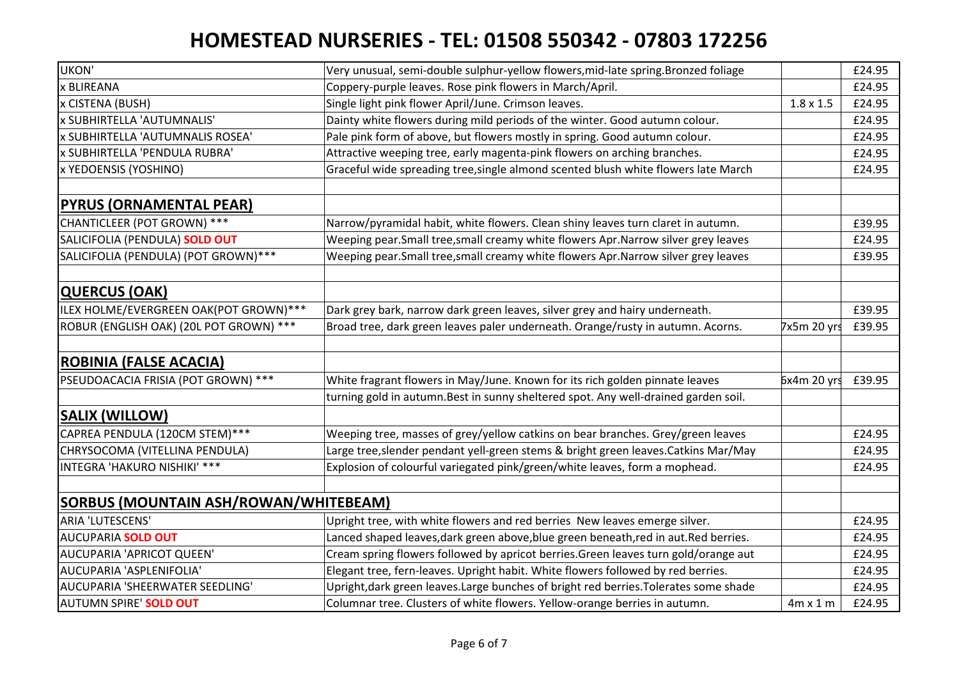| UKON'                                        | Very unusual, semi-double sulphur-yellow flowers, mid-late spring. Bronzed foliage    |                  | £24.95 |
|----------------------------------------------|---------------------------------------------------------------------------------------|------------------|--------|
| x BLIREANA                                   | Coppery-purple leaves. Rose pink flowers in March/April.                              |                  | £24.95 |
| x CISTENA (BUSH)                             | Single light pink flower April/June. Crimson leaves.                                  | $1.8 \times 1.5$ | £24.95 |
| x SUBHIRTELLA 'AUTUMNALIS'                   | Dainty white flowers during mild periods of the winter. Good autumn colour.           |                  | £24.95 |
| x SUBHIRTELLA 'AUTUMNALIS ROSEA'             | Pale pink form of above, but flowers mostly in spring. Good autumn colour.            |                  | £24.95 |
| x SUBHIRTELLA 'PENDULA RUBRA'                | Attractive weeping tree, early magenta-pink flowers on arching branches.              |                  | £24.95 |
| x YEDOENSIS (YOSHINO)                        | Graceful wide spreading tree, single almond scented blush white flowers late March    |                  | £24.95 |
|                                              |                                                                                       |                  |        |
| <b>PYRUS (ORNAMENTAL PEAR)</b>               |                                                                                       |                  |        |
| CHANTICLEER (POT GROWN) ***                  | Narrow/pyramidal habit, white flowers. Clean shiny leaves turn claret in autumn.      |                  | £39.95 |
| SALICIFOLIA (PENDULA) SOLD OUT               | Weeping pear. Small tree, small creamy white flowers Apr. Narrow silver grey leaves   |                  | £24.95 |
| SALICIFOLIA (PENDULA) (POT GROWN) ***        | Weeping pear.Small tree,small creamy white flowers Apr.Narrow silver grey leaves      |                  | £39.95 |
|                                              |                                                                                       |                  |        |
| <b>QUERCUS (OAK)</b>                         |                                                                                       |                  |        |
| ILEX HOLME/EVERGREEN OAK(POT GROWN) ***      | Dark grey bark, narrow dark green leaves, silver grey and hairy underneath.           |                  | £39.95 |
| ROBUR (ENGLISH OAK) (20L POT GROWN) ***      | Broad tree, dark green leaves paler underneath. Orange/rusty in autumn. Acorns.       | 7x5m 20 yrs      | £39.95 |
|                                              |                                                                                       |                  |        |
| <b>ROBINIA (FALSE ACACIA)</b>                |                                                                                       |                  |        |
| PSEUDOACACIA FRISIA (POT GROWN) ***          | White fragrant flowers in May/June. Known for its rich golden pinnate leaves          | 6x4m 20 yrs      | £39.95 |
|                                              | turning gold in autumn. Best in sunny sheltered spot. Any well-drained garden soil.   |                  |        |
| <b>SALIX (WILLOW)</b>                        |                                                                                       |                  |        |
| CAPREA PENDULA (120CM STEM)***               | Weeping tree, masses of grey/yellow catkins on bear branches. Grey/green leaves       |                  | £24.95 |
| CHRYSOCOMA (VITELLINA PENDULA)               | Large tree, slender pendant yell-green stems & bright green leaves. Catkins Mar/May   |                  | £24.95 |
| INTEGRA 'HAKURO NISHIKI' ***                 | Explosion of colourful variegated pink/green/white leaves, form a mophead.            |                  | £24.95 |
|                                              |                                                                                       |                  |        |
| <b>SORBUS (MOUNTAIN ASH/ROWAN/WHITEBEAM)</b> |                                                                                       |                  |        |
| <b>ARIA 'LUTESCENS'</b>                      | Upright tree, with white flowers and red berries New leaves emerge silver.            |                  | £24.95 |
| <b>AUCUPARIA SOLD OUT</b>                    | Lanced shaped leaves, dark green above, blue green beneath, red in aut. Red berries.  |                  | £24.95 |
| AUCUPARIA 'APRICOT QUEEN'                    | Cream spring flowers followed by apricot berries. Green leaves turn gold/orange aut   |                  | £24.95 |
| AUCUPARIA 'ASPLENIFOLIA'                     | Elegant tree, fern-leaves. Upright habit. White flowers followed by red berries.      |                  | £24.95 |
| AUCUPARIA 'SHEERWATER SEEDLING'              | Upright, dark green leaves. Large bunches of bright red berries. Tolerates some shade |                  | £24.95 |
| AUTUMN SPIRE' SOLD OUT                       | Columnar tree. Clusters of white flowers. Yellow-orange berries in autumn.            | $4m \times 1 m$  | £24.95 |